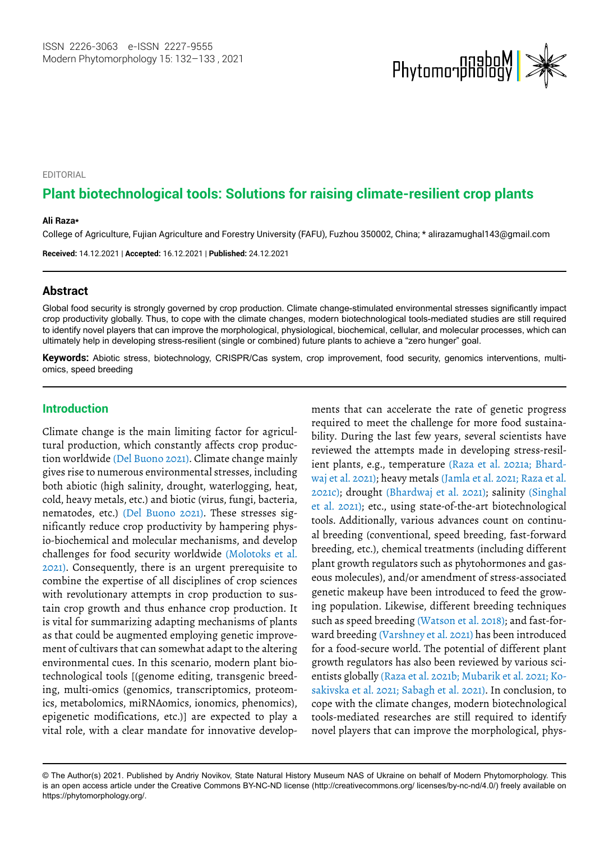

EDITORIAL

# **Plant biotechnological tools: Solutions for raising climate-resilient crop plants**

#### **Ali Raza\***

College of Agriculture, Fujian Agriculture and Forestry University (FAFU), Fuzhou 350002, China; \* [alirazamughal143@gmail.com](mailto:alirazamughal143@gmail.com)

**Received:** 14.12.2021 | **Accepted:** 16.12.2021 | **Published:** 24.12.2021

### **Abstract**

Global food security is strongly governed by crop production. Climate change-stimulated environmental stresses significantly impact crop productivity globally. Thus, to cope with the climate changes, modern biotechnological tools-mediated studies are still required to identify novel players that can improve the morphological, physiological, biochemical, cellular, and molecular processes, which can ultimately help in developing stress-resilient (single or combined) future plants to achieve a "zero hunger" goal.

**Keywords:** Abiotic stress, biotechnology, CRISPR/Cas system, crop improvement, food security, genomics interventions, multiomics, speed breeding

## **Introduction**

Climate change is the main limiting factor for agricultural production, which constantly affects crop production worldwide (Del Buono 2021). Climate change mainly gives rise to numerous environmental stresses, including both abiotic (high salinity, drought, waterlogging, heat, cold, heavy metals, etc.) and biotic (virus, fungi, bacteria, nematodes, etc.) (Del Buono 2021). These stresses significantly reduce crop productivity by hampering physio-biochemical and molecular mechanisms, and develop challenges for food security worldwide (Molotoks et al. 2021). Consequently, there is an urgent prerequisite to combine the expertise of all disciplines of crop sciences with revolutionary attempts in crop production to sustain crop growth and thus enhance crop production. It is vital for summarizing adapting mechanisms of plants as that could be augmented employing genetic improvement of cultivars that can somewhat adapt to the altering environmental cues. In this scenario, modern plant biotechnological tools [(genome editing, transgenic breeding, multi-omics (genomics, transcriptomics, proteomics, metabolomics, miRNAomics, ionomics, phenomics), epigenetic modifications, etc.)] are expected to play a vital role, with a clear mandate for innovative developments that can accelerate the rate of genetic progress required to meet the challenge for more food sustainability. During the last few years, several scientists have reviewed the attempts made in developing stress-resilient plants, e.g., temperature (Raza et al. 2021a; Bhardwaj et al. 2021); heavy metals (Jamla et al. 2021; Raza et al. 2021c); drought (Bhardwaj et al. 2021); salinity (Singhal et al. 2021); etc., using state-of-the-art biotechnological tools. Additionally, various advances count on continual breeding (conventional, speed breeding, fast-forward breeding, etc.), chemical treatments (including different plant growth regulators such as phytohormones and gaseous molecules), and/or amendment of stress-associated genetic makeup have been introduced to feed the growing population. Likewise, different breeding techniques such as speed breeding (Watson et al. 2018); and fast-forward breeding (Varshney et al. 2021) has been introduced for a food-secure world. The potential of different plant growth regulators has also been reviewed by various scientists globally (Raza et al. 2021b; Mubarik et al. 2021; Kosakivska et al. 2021; Sabagh et al. 2021). In conclusion, to cope with the climate changes, modern biotechnological tools-mediated researches are still required to identify novel players that can improve the morphological, phys-

<sup>©</sup> The Author(s) 2021. Published by Andriy Novikov, State Natural History Museum NAS of Ukraine on behalf of Modern Phytomorphology. This is an open access article under the Creative Commons BY-NC-ND license (http://creativecommons.org/ licenses/by-nc-nd/4.0/) freely available on https://phytomorphology.org/.